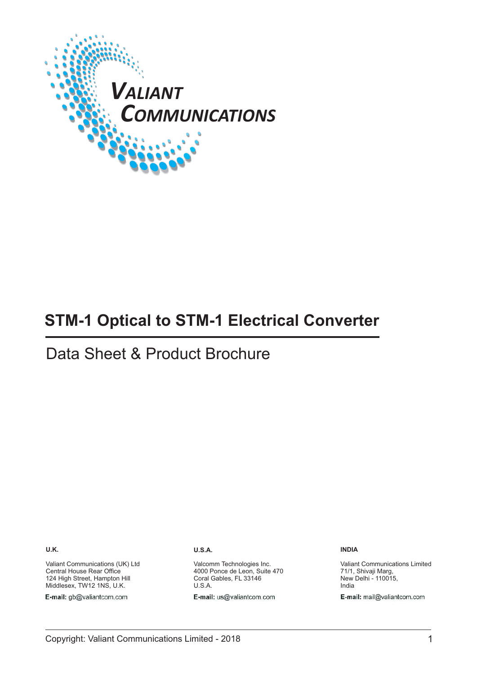

# **STM-1 Optical to STM-1 Electrical Converter**

# Data Sheet & Product Brochure

**U.K.**

Valiant Communications (UK) Ltd Central House Rear Office 124 High Street, Hampton Hill Middlesex, TW12 1NS, U.K.

E-mail: gb@valiantcom.com

#### **U.S.A.**

Valcomm Technologies Inc. 4000 Ponce de Leon, Suite 470 Coral Gables, FL 33146 U.S.A.

E-mail: us@valiantcom.com

**INDIA**

Valiant Communications Limited 71/1, Shivaji Marg, New Delhi - 110015, India E-mail: mail@valiantcom.com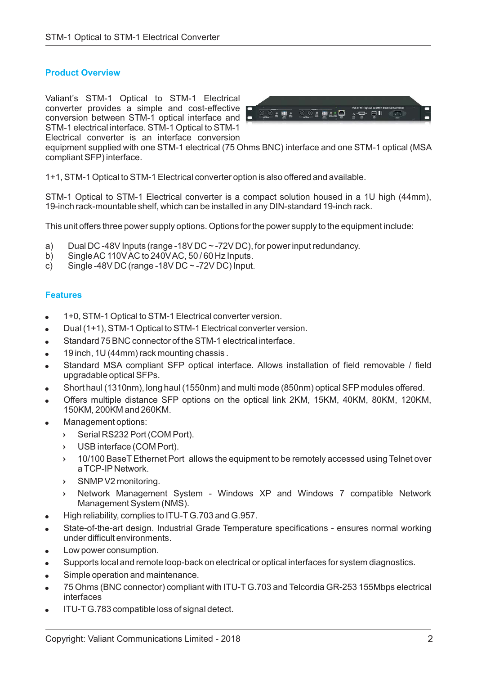## **Product Overview**

Valiant's STM-1 Optical to STM-1 Electrical converter provides a simple and cost-effective conversion between STM-1 optical interface and STM-1 electrical interface. STM-1 Optical to STM-1 Electrical converter is an interface conversion



equipment supplied with one STM-1 electrical (75 Ohms BNC) interface and one STM-1 optical (MSA compliant SFP) interface.

1+1, STM-1 Optical to STM-1 Electrical converter option is also offered and available.

STM-1 Optical to STM-1 Electrical converter is a compact solution housed in a 1U high (44mm), 19-inch rack-mountable shelf, which can be installed in any DIN-standard 19-inch rack.

This unit offers three power supply options. Options for the power supply to the equipment include:

- a) Dual DC -48V Inputs (range -18V DC ~ -72V DC), for power input redundancy.
- b) SingleAC 110VAC to 240VAC, 50 / 60 Hz Inputs.
- c) Single -48V DC (range -18V DC  $\sim$  -72V DC) Input.

#### **Features**

- -1+0, STM-1 Optical to STM-1 Electrical converter version.
- $\bullet$ Dual (1+1), STM-1 Optical to STM-1 Electrical converter version.
- -Standard 75 BNC connector of the STM-1 electrical interface.
- -19 inch, 1U (44mm) rack mounting chassis .
- -Standard MSA compliant SFP optical interface. Allows installation of field removable / field upgradable optical SFPs.
- -Short haul (1310nm), long haul (1550nm) and multi mode (850nm) optical SFP modules offered.
- -Offers multiple distance SFP options on the optical link 2KM, 15KM, 40KM, 80KM, 120KM, 150KM, 200KM and 260KM.
- -Management options:
	- $\mathbf{r}$ Serial RS232 Port (COM Port).
	- $\mathbf{v}$ USB interface (COM Port).
	- ▸ 10/100 BaseT Ethernet Port allows the equipment to be remotely accessed using Telnet over a TCP-IP Network.
	- ▸ SNMP V2 monitoring.
	- ▸ Network Management System - Windows XP and Windows 7 compatible Network Management System (NMS).
- -High reliability, complies to ITU-T G.703 and G.957.
- -State-of-the-art design. Industrial Grade Temperature specifications - ensures normal working under difficult environments.
- -Low power consumption.
- $\bullet$ Supports local and remote loop-back on electrical or optical interfaces for system diagnostics.
- -Simple operation and maintenance.
- -75 Ohms (BNC connector) compliant with ITU-T G.703 and Telcordia GR-253 155Mbps electrical interfaces
- -ITU-T G.783 compatible loss of signal detect.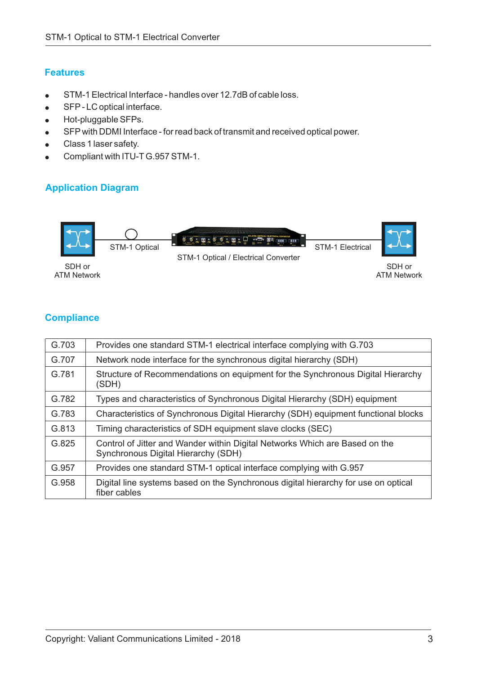## **Features**

- -STM-1 Electrical Interface - handles over 12.7dB of cable loss.
- SFP - LC optical interface.
- Hot-pluggable SFPs.
- SFP with DDMI Interface - for read back of transmit and received optical power.
- Class 1 laser safety.
- $\bullet$ Compliant with ITU-T G.957 STM-1.

## **Application Diagram**



## **Compliance**

| G.703 | Provides one standard STM-1 electrical interface complying with G.703                                              |
|-------|--------------------------------------------------------------------------------------------------------------------|
| G.707 | Network node interface for the synchronous digital hierarchy (SDH)                                                 |
| G.781 | Structure of Recommendations on equipment for the Synchronous Digital Hierarchy<br>(SDH)                           |
| G.782 | Types and characteristics of Synchronous Digital Hierarchy (SDH) equipment                                         |
| G.783 | Characteristics of Synchronous Digital Hierarchy (SDH) equipment functional blocks                                 |
| G.813 | Timing characteristics of SDH equipment slave clocks (SEC)                                                         |
| G.825 | Control of Jitter and Wander within Digital Networks Which are Based on the<br>Synchronous Digital Hierarchy (SDH) |
| G.957 | Provides one standard STM-1 optical interface complying with G.957                                                 |
| G.958 | Digital line systems based on the Synchronous digital hierarchy for use on optical<br>fiber cables                 |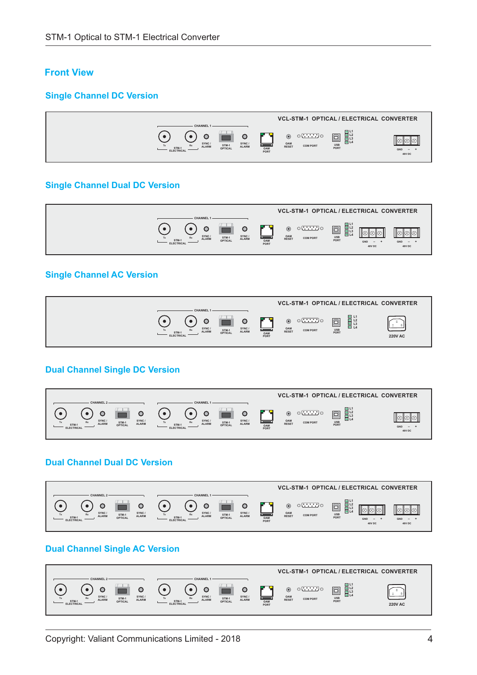## **Front View**

### **Single Channel DC Version**



#### **Single Channel Dual DC Version**



#### **Single Channel AC Version**



#### **Dual Channel Single DC Version**



## **Dual Channel Dual DC Version**



## **Dual Channel Single AC Version**

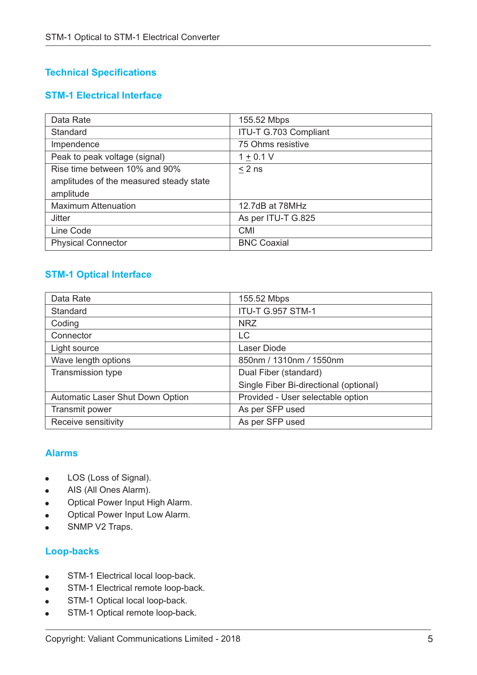# **Technical Specifications**

## **STM-1 Electrical Interface**

| Data Rate                               | 155.52 Mbps           |
|-----------------------------------------|-----------------------|
| Standard                                | ITU-T G.703 Compliant |
| Impendence                              | 75 Ohms resistive     |
| Peak to peak voltage (signal)           | $1 + 0.1 V$           |
| Rise time between 10% and 90%           | $< 2$ ns              |
| amplitudes of the measured steady state |                       |
| amplitude                               |                       |
| <b>Maximum Attenuation</b>              | 12.7dB at 78MHz       |
| <b>Jitter</b>                           | As per ITU-T G.825    |
| Line Code                               | <b>CMI</b>            |
| <b>Physical Connector</b>               | <b>BNC Coaxial</b>    |

## **STM-1 Optical Interface**

| Data Rate                               | 155.52 Mbps                            |
|-----------------------------------------|----------------------------------------|
| Standard                                | <b>ITU-T G.957 STM-1</b>               |
| Coding                                  | <b>NRZ</b>                             |
| Connector                               | LC                                     |
| Light source                            | Laser Diode                            |
| Wave length options                     | 850nm / 1310nm / 1550nm                |
| <b>Transmission type</b>                | Dual Fiber (standard)                  |
|                                         | Single Fiber Bi-directional (optional) |
| <b>Automatic Laser Shut Down Option</b> | Provided - User selectable option      |
| Transmit power                          | As per SFP used                        |
| Receive sensitivity                     | As per SFP used                        |

## **Alarms**

- -LOS (Loss of Signal).
- AIS (All Ones Alarm).
- -Optical Power Input High Alarm.
- -Optical Power Input Low Alarm.
- $\bullet$ SNMP V2 Traps.

## **Loop-backs**

- $\bullet$ STM-1 Electrical local loop-back.
- STM-1 Electrical remote loop-back.
- STM-1 Optical local loop-back. -
- STM-1 Optical remote loop-back.  $\bullet$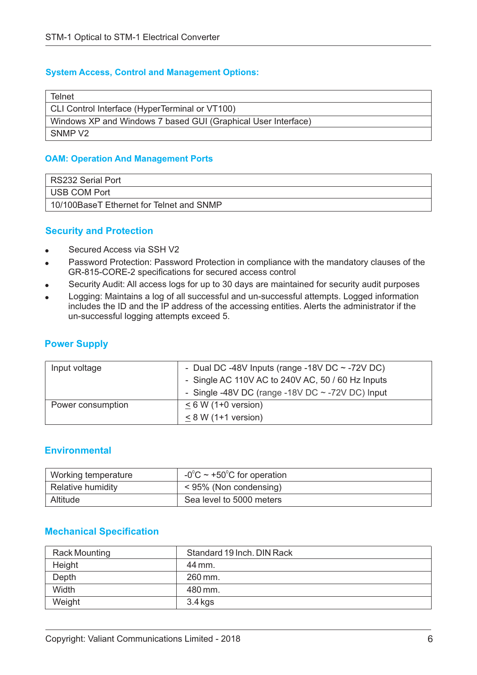### **System Access, Control and Management Options:**

| Telnet                                                        |
|---------------------------------------------------------------|
| CLI Control Interface (HyperTerminal or VT100)                |
| Windows XP and Windows 7 based GUI (Graphical User Interface) |
| SNMP V <sub>2</sub>                                           |

#### **OAM: Operation And Management Ports**

| RS232 Serial Port                        |
|------------------------------------------|
| USB COM Port                             |
| 10/100BaseT Ethernet for Telnet and SNMP |

## **Security and Protection**

- -Secured Access via SSH V2
- -Password Protection: Password Protection in compliance with the mandatory clauses of the GR-815-CORE-2 specifications for secured access control
- -Security Audit: All access logs for up to 30 days are maintained for security audit purposes
- -Logging: Maintains a log of all successful and un-successful attempts. Logged information includes the ID and the IP address of the accessing entities. Alerts the administrator if the un-successful logging attempts exceed 5.

## **Power Supply**

| Input voltage     | - Dual DC -48V Inputs (range -18V DC $\sim$ -72V DC)  |
|-------------------|-------------------------------------------------------|
|                   | - Single AC 110V AC to 240V AC, 50 / 60 Hz Inputs     |
|                   | - Single -48V DC (range -18V DC $\sim$ -72V DC) Input |
| Power consumption | $\leq$ 6 W (1+0 version)                              |
|                   | $< 8 W (1+1$ version)                                 |

## **Environmental**

| Working temperature | $-0^{\circ}$ C ~ +50 <sup>°</sup> C for operation |
|---------------------|---------------------------------------------------|
| Relative humidity   | < 95% (Non condensing)                            |
| Altitude            | Sea level to 5000 meters                          |

## **Mechanical Specification**

| Rack Mounting | Standard 19 Inch. DIN Rack |
|---------------|----------------------------|
| Height        | 44 mm.                     |
| Depth         | $260$ mm.                  |
| Width         | 480 mm.                    |
| Weight        | 3.4 kgs                    |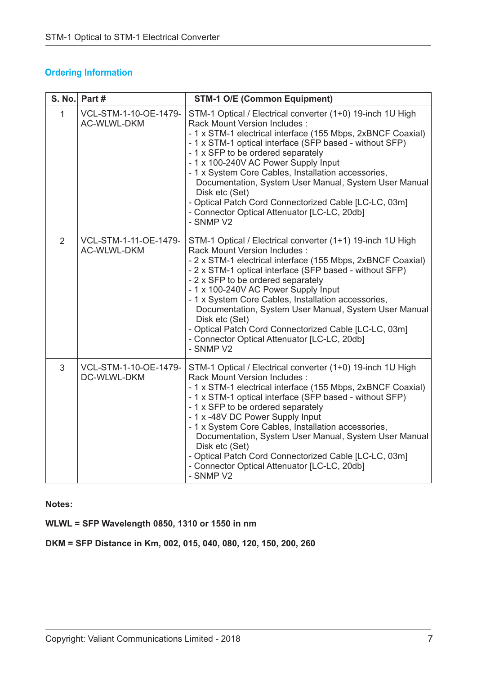|                | S. No. Part #                               | <b>STM-1 O/E (Common Equipment)</b>                                                                                                                                                                                                                                                                                                                                                                                                                                                                                                                        |
|----------------|---------------------------------------------|------------------------------------------------------------------------------------------------------------------------------------------------------------------------------------------------------------------------------------------------------------------------------------------------------------------------------------------------------------------------------------------------------------------------------------------------------------------------------------------------------------------------------------------------------------|
| $\mathbf{1}$   | VCL-STM-1-10-OE-1479-<br><b>AC-WLWL-DKM</b> | STM-1 Optical / Electrical converter (1+0) 19-inch 1U High<br>Rack Mount Version Includes:<br>- 1 x STM-1 electrical interface (155 Mbps, 2xBNCF Coaxial)<br>- 1 x STM-1 optical interface (SFP based - without SFP)<br>- 1 x SFP to be ordered separately<br>- 1 x 100-240V AC Power Supply Input<br>- 1 x System Core Cables, Installation accessories,<br>Documentation, System User Manual, System User Manual<br>Disk etc (Set)<br>- Optical Patch Cord Connectorized Cable [LC-LC, 03m]<br>- Connector Optical Attenuator [LC-LC, 20db]<br>- SNMP V2 |
| 2              | VCL-STM-1-11-OE-1479-<br><b>AC-WLWL-DKM</b> | STM-1 Optical / Electrical converter (1+1) 19-inch 1U High<br>Rack Mount Version Includes:<br>- 2 x STM-1 electrical interface (155 Mbps, 2xBNCF Coaxial)<br>- 2 x STM-1 optical interface (SFP based - without SFP)<br>- 2 x SFP to be ordered separately<br>- 1 x 100-240V AC Power Supply Input<br>- 1 x System Core Cables, Installation accessories,<br>Documentation, System User Manual, System User Manual<br>Disk etc (Set)<br>- Optical Patch Cord Connectorized Cable [LC-LC, 03m]<br>- Connector Optical Attenuator [LC-LC, 20db]<br>- SNMP V2 |
| $\mathfrak{S}$ | VCL-STM-1-10-OE-1479-<br>DC-WLWL-DKM        | STM-1 Optical / Electrical converter (1+0) 19-inch 1U High<br>Rack Mount Version Includes :<br>- 1 x STM-1 electrical interface (155 Mbps, 2xBNCF Coaxial)<br>- 1 x STM-1 optical interface (SFP based - without SFP)<br>- 1 x SFP to be ordered separately<br>- 1 x -48V DC Power Supply Input<br>- 1 x System Core Cables, Installation accessories,<br>Documentation, System User Manual, System User Manual<br>Disk etc (Set)<br>- Optical Patch Cord Connectorized Cable [LC-LC, 03m]<br>- Connector Optical Attenuator [LC-LC, 20db]<br>- SNMP V2    |

**Notes:**

**WLWL = SFP Wavelength 0850, 1310 or 1550 in nm**

**DKM = SFP Distance in Km, 002, 015, 040, 080, 120, 150, 200, 260**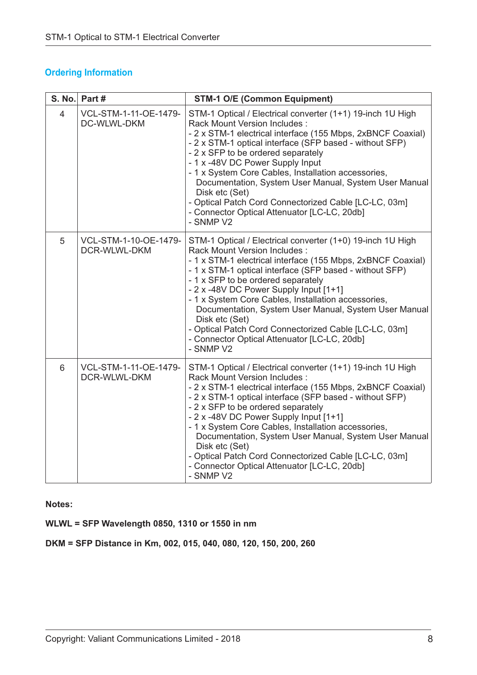|                | S. No. Part #                               | <b>STM-1 O/E (Common Equipment)</b>                                                                                                                                                                                                                                                                                                                                                                                                                                                                                                                           |
|----------------|---------------------------------------------|---------------------------------------------------------------------------------------------------------------------------------------------------------------------------------------------------------------------------------------------------------------------------------------------------------------------------------------------------------------------------------------------------------------------------------------------------------------------------------------------------------------------------------------------------------------|
| $\overline{4}$ | VCL-STM-1-11-OE-1479-<br><b>DC-WLWL-DKM</b> | STM-1 Optical / Electrical converter (1+1) 19-inch 1U High<br><b>Rack Mount Version Includes:</b><br>- 2 x STM-1 electrical interface (155 Mbps, 2xBNCF Coaxial)<br>- 2 x STM-1 optical interface (SFP based - without SFP)<br>- 2 x SFP to be ordered separately<br>- 1 x -48V DC Power Supply Input<br>- 1 x System Core Cables, Installation accessories,<br>Documentation, System User Manual, System User Manual<br>Disk etc (Set)<br>- Optical Patch Cord Connectorized Cable [LC-LC, 03m]<br>- Connector Optical Attenuator [LC-LC, 20db]<br>- SNMP V2 |
| 5              | VCL-STM-1-10-OE-1479-<br>DCR-WLWL-DKM       | STM-1 Optical / Electrical converter (1+0) 19-inch 1U High<br>Rack Mount Version Includes :<br>- 1 x STM-1 electrical interface (155 Mbps, 2xBNCF Coaxial)<br>- 1 x STM-1 optical interface (SFP based - without SFP)<br>- 1 x SFP to be ordered separately<br>- 2 x -48V DC Power Supply Input [1+1]<br>- 1 x System Core Cables, Installation accessories,<br>Documentation, System User Manual, System User Manual<br>Disk etc (Set)<br>- Optical Patch Cord Connectorized Cable [LC-LC, 03m]<br>- Connector Optical Attenuator [LC-LC, 20db]<br>- SNMP V2 |
| 6              | VCL-STM-1-11-OE-1479-<br>DCR-WLWL-DKM       | STM-1 Optical / Electrical converter (1+1) 19-inch 1U High<br>Rack Mount Version Includes :<br>- 2 x STM-1 electrical interface (155 Mbps, 2xBNCF Coaxial)<br>- 2 x STM-1 optical interface (SFP based - without SFP)<br>- 2 x SFP to be ordered separately<br>- 2 x -48V DC Power Supply Input [1+1]<br>- 1 x System Core Cables, Installation accessories,<br>Documentation, System User Manual, System User Manual<br>Disk etc (Set)<br>- Optical Patch Cord Connectorized Cable [LC-LC, 03m]<br>- Connector Optical Attenuator [LC-LC, 20db]<br>- SNMP V2 |

**Notes:**

**WLWL = SFP Wavelength 0850, 1310 or 1550 in nm**

**DKM = SFP Distance in Km, 002, 015, 040, 080, 120, 150, 200, 260**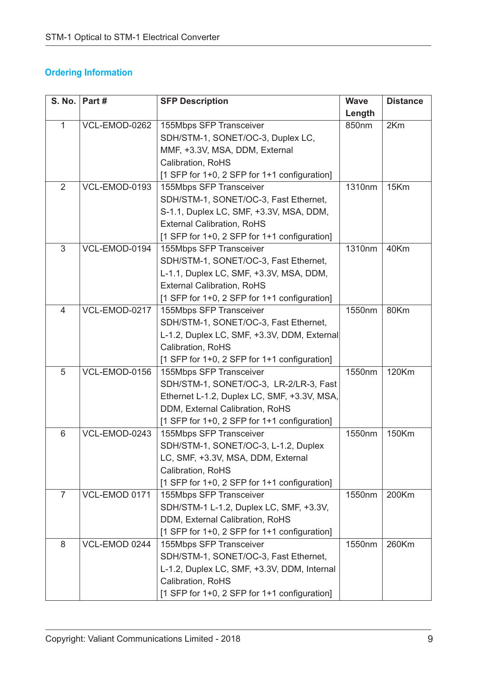| <b>S. No.</b>  | Part#         | <b>SFP Description</b>                       | <b>Wave</b> | <b>Distance</b> |
|----------------|---------------|----------------------------------------------|-------------|-----------------|
|                |               |                                              | Length      |                 |
| $\mathbf{1}$   | VCL-EMOD-0262 | 155Mbps SFP Transceiver                      | 850nm       | 2Km             |
|                |               | SDH/STM-1, SONET/OC-3, Duplex LC,            |             |                 |
|                |               | MMF, +3.3V, MSA, DDM, External               |             |                 |
|                |               | Calibration, RoHS                            |             |                 |
|                |               | [1 SFP for 1+0, 2 SFP for 1+1 configuration] |             |                 |
| $\overline{2}$ | VCL-EMOD-0193 | 155Mbps SFP Transceiver                      | 1310nm      | 15Km            |
|                |               | SDH/STM-1, SONET/OC-3, Fast Ethernet,        |             |                 |
|                |               | S-1.1, Duplex LC, SMF, +3.3V, MSA, DDM,      |             |                 |
|                |               | <b>External Calibration, RoHS</b>            |             |                 |
|                |               | [1 SFP for 1+0, 2 SFP for 1+1 configuration] |             |                 |
| 3              | VCL-EMOD-0194 | 155Mbps SFP Transceiver                      | 1310nm      | 40Km            |
|                |               | SDH/STM-1, SONET/OC-3, Fast Ethernet,        |             |                 |
|                |               | L-1.1, Duplex LC, SMF, +3.3V, MSA, DDM,      |             |                 |
|                |               | <b>External Calibration, RoHS</b>            |             |                 |
|                |               | [1 SFP for 1+0, 2 SFP for 1+1 configuration] |             |                 |
| $\overline{4}$ | VCL-EMOD-0217 | 155Mbps SFP Transceiver                      | 1550nm      | 80Km            |
|                |               | SDH/STM-1, SONET/OC-3, Fast Ethernet,        |             |                 |
|                |               | L-1.2, Duplex LC, SMF, +3.3V, DDM, External  |             |                 |
|                |               | Calibration, RoHS                            |             |                 |
|                |               | [1 SFP for 1+0, 2 SFP for 1+1 configuration] |             |                 |
| 5              | VCL-EMOD-0156 | 155Mbps SFP Transceiver                      | 1550nm      | 120Km           |
|                |               | SDH/STM-1, SONET/OC-3, LR-2/LR-3, Fast       |             |                 |
|                |               | Ethernet L-1.2, Duplex LC, SMF, +3.3V, MSA,  |             |                 |
|                |               | DDM, External Calibration, RoHS              |             |                 |
|                |               | [1 SFP for 1+0, 2 SFP for 1+1 configuration] |             |                 |
| 6              | VCL-EMOD-0243 | 155Mbps SFP Transceiver                      | 1550nm      | 150Km           |
|                |               | SDH/STM-1, SONET/OC-3, L-1.2, Duplex         |             |                 |
|                |               | LC, SMF, +3.3V, MSA, DDM, External           |             |                 |
|                |               | Calibration, RoHS                            |             |                 |
|                |               | [1 SFP for 1+0, 2 SFP for 1+1 configuration] |             |                 |
| $\overline{7}$ | VCL-EMOD 0171 | 155Mbps SFP Transceiver                      | 1550nm      | 200Km           |
|                |               | SDH/STM-1 L-1.2, Duplex LC, SMF, +3.3V,      |             |                 |
|                |               | DDM, External Calibration, RoHS              |             |                 |
|                |               | [1 SFP for 1+0, 2 SFP for 1+1 configuration] |             |                 |
| 8              | VCL-EMOD 0244 | 155Mbps SFP Transceiver                      | 1550nm      | 260Km           |
|                |               | SDH/STM-1, SONET/OC-3, Fast Ethernet,        |             |                 |
|                |               | L-1.2, Duplex LC, SMF, +3.3V, DDM, Internal  |             |                 |
|                |               | Calibration, RoHS                            |             |                 |
|                |               | [1 SFP for 1+0, 2 SFP for 1+1 configuration] |             |                 |